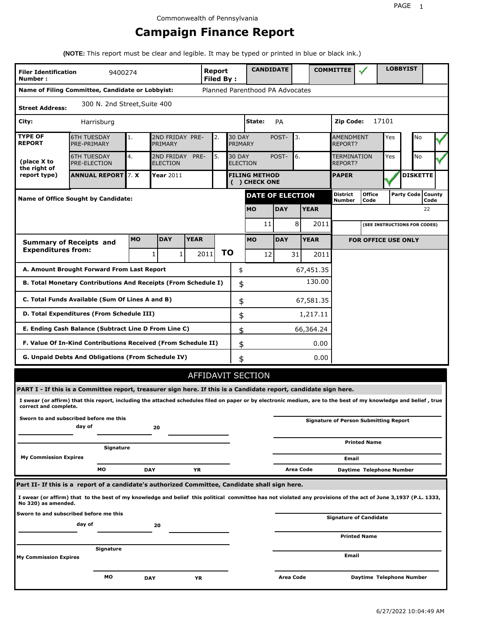# **Campaign Finance Report**

**(NOTE:** This report must be clear and legible. It may be typed or printed in blue or black ink.)

| <b>Filer Identification</b><br>Number: | 9400274                                                                                                                                                         |           |                                             |              | Report<br><b>Filed By:</b> |           | <b>CANDIDATE</b>                      |             |             | <b>COMMITTEE</b>              |                                              |       | <b>LOBBYIST</b>     |      |
|----------------------------------------|-----------------------------------------------------------------------------------------------------------------------------------------------------------------|-----------|---------------------------------------------|--------------|----------------------------|-----------|---------------------------------------|-------------|-------------|-------------------------------|----------------------------------------------|-------|---------------------|------|
|                                        | Name of Filing Committee, Candidate or Lobbyist:                                                                                                                |           |                                             |              |                            |           | Planned Parenthood PA Advocates       |             |             |                               |                                              |       |                     |      |
| <b>Street Address:</b>                 | 300 N. 2nd Street, Suite 400                                                                                                                                    |           |                                             |              |                            |           |                                       |             |             |                               |                                              |       |                     |      |
| City:                                  | Harrisburg                                                                                                                                                      |           |                                             |              |                            |           | State:                                | PA          |             | Zip Code:                     |                                              | 17101 |                     |      |
| <b>TYPE OF</b><br><b>REPORT</b>        | <b>6TH TUESDAY</b><br>PRE-PRIMARY                                                                                                                               | 1.        | 2ND FRIDAY PRE-<br>2.<br>PRIMARY            |              |                            |           | <b>30 DAY</b><br>PRIMARY              | POST-<br>3. |             |                               | <b>AMENDMENT</b><br>REPORT?                  |       | No                  |      |
| (place X to<br>the right of            | <b>6TH TUESDAY</b><br>PRE-ELECTION                                                                                                                              | 4.        | 2ND FRIDAY<br>PRE-<br>5.<br><b>ELECTION</b> |              |                            |           | <b>30 DAY</b><br><b>ELECTION</b>      | POST-       | 6.          | <b>TERMINATION</b><br>REPORT? |                                              | Yes   | No                  |      |
| report type)                           | <b>ANNUAL REPORT</b> 7. X<br>Year 2011                                                                                                                          |           |                                             |              |                            |           | <b>FILING METHOD</b><br>( ) CHECK ONE |             |             | <b>PAPER</b>                  |                                              |       | <b>DISKETTE</b>     |      |
|                                        | <b>Name of Office Sought by Candidate:</b>                                                                                                                      |           |                                             |              |                            |           | <b>DATE OF ELECTION</b>               |             |             | <b>District</b><br>Number     | <b>Office</b><br>Code                        |       | Party Code   County | Code |
|                                        |                                                                                                                                                                 |           |                                             |              |                            |           | <b>MO</b>                             | <b>DAY</b>  | <b>YEAR</b> |                               |                                              |       |                     | 22   |
|                                        |                                                                                                                                                                 |           |                                             | 11           |                            | 8<br>2011 |                                       |             |             | (SEE INSTRUCTIONS FOR CODES)  |                                              |       |                     |      |
|                                        | <b>Summary of Receipts and</b>                                                                                                                                  | <b>MO</b> | <b>DAY</b>                                  | <b>YEAR</b>  |                            |           | <b>MO</b>                             | <b>DAY</b>  | <b>YEAR</b> |                               | <b>FOR OFFICE USE ONLY</b>                   |       |                     |      |
| <b>Expenditures from:</b>              |                                                                                                                                                                 |           | 1                                           | $\mathbf{1}$ | 2011                       | ΤO        | 12                                    | 31          | 2011        |                               |                                              |       |                     |      |
|                                        | A. Amount Brought Forward From Last Report                                                                                                                      |           |                                             |              |                            | \$        |                                       |             | 67,451.35   |                               |                                              |       |                     |      |
|                                        | B. Total Monetary Contributions And Receipts (From Schedule I)                                                                                                  |           |                                             |              |                            |           | 130.00<br>\$                          |             |             |                               |                                              |       |                     |      |
|                                        | C. Total Funds Available (Sum Of Lines A and B)                                                                                                                 |           |                                             |              |                            | \$        |                                       |             | 67,581.35   |                               |                                              |       |                     |      |
|                                        | D. Total Expenditures (From Schedule III)                                                                                                                       |           |                                             |              |                            | \$        |                                       |             | 1,217.11    |                               |                                              |       |                     |      |
|                                        | E. Ending Cash Balance (Subtract Line D From Line C)                                                                                                            |           |                                             |              |                            | \$        |                                       |             | 66,364.24   |                               |                                              |       |                     |      |
|                                        | F. Value Of In-Kind Contributions Received (From Schedule II)                                                                                                   |           |                                             |              |                            | \$        |                                       |             | 0.00        |                               |                                              |       |                     |      |
|                                        | <b>G. Unpaid Debts And Obligations (From Schedule IV)</b>                                                                                                       |           |                                             |              |                            | \$        |                                       |             | 0.00        |                               |                                              |       |                     |      |
|                                        |                                                                                                                                                                 |           |                                             |              |                            |           | AFFIDAVIT SECTION                     |             |             |                               |                                              |       |                     |      |
|                                        | PART I - If this is a Committee report, treasurer sign here. If this is a Candidate report, candidate sign here.                                                |           |                                             |              |                            |           |                                       |             |             |                               |                                              |       |                     |      |
| correct and complete.                  | I swear (or affirm) that this report, including the attached schedules filed on paper or by electronic medium, are to the best of my knowledge and belief, true |           |                                             |              |                            |           |                                       |             |             |                               |                                              |       |                     |      |
|                                        | Sworn to and subscribed before me this<br>day of                                                                                                                |           | 20                                          |              |                            |           |                                       |             |             |                               | <b>Signature of Person Submitting Report</b> |       |                     |      |
|                                        | Signature                                                                                                                                                       |           |                                             |              |                            |           |                                       |             |             |                               | <b>Printed Name</b>                          |       |                     |      |
| <b>My Commission Expires</b>           |                                                                                                                                                                 |           |                                             |              |                            |           |                                       |             |             | Email                         |                                              |       |                     |      |
|                                        | MО                                                                                                                                                              |           | <b>DAY</b>                                  | ΥR           |                            |           |                                       |             | Area Code   |                               | Daytime Telephone Number                     |       |                     |      |
|                                        | Part II- If this is a report of a candidate's authorized Committee, Candidate shall sign here.                                                                  |           |                                             |              |                            |           |                                       |             |             |                               |                                              |       |                     |      |
| No 320) as amended.                    | I swear (or affirm) that to the best of my knowledge and belief this political committee has not violated any provisions of the act of June 3,1937 (P.L. 1333,  |           |                                             |              |                            |           |                                       |             |             |                               |                                              |       |                     |      |
|                                        | Sworn to and subscribed before me this<br>day of                                                                                                                |           | 20                                          |              |                            |           |                                       |             |             |                               | Signature of Candidate                       |       |                     |      |
|                                        |                                                                                                                                                                 |           |                                             |              |                            |           |                                       |             |             |                               | <b>Printed Name</b>                          |       |                     |      |
| <b>My Commission Expires</b>           | Signature                                                                                                                                                       |           |                                             |              |                            |           |                                       |             |             | Email                         |                                              |       |                     |      |
|                                        |                                                                                                                                                                 |           |                                             |              |                            |           |                                       |             |             |                               |                                              |       |                     |      |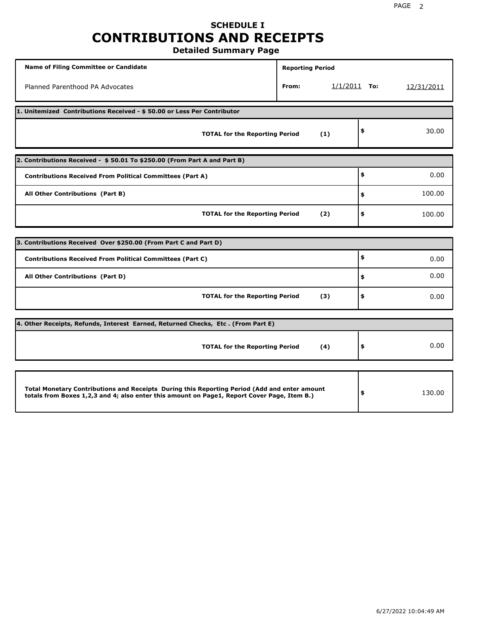## **SCHEDULE I CONTRIBUTIONS AND RECEIPTS Detailed Summary Page**

**Name of Filing Committee or Candidate Reporting Period Reporting Period** Planned Parenthood PA Advocates **From:** 1/1/2011 **To:** 12/31/2011 **1. Unitemized Contributions Received - \$ 50.00 or Less Per Contributor TOTAL for the Reporting Period (1) \$** 30.00 **2. Contributions Received - \$ 50.01 To \$250.00 (From Part A and Part B) TOTAL for the Reporting Period (2) Contributions Received From Political Committees (Part A) All Other Contributions (Part B) \$ \$ \$** 0.00 100.00 100.00 **3. Contributions Received Over \$250.00 (From Part C and Part D) TOTAL for the Reporting Period (3) Contributions Received From Political Committees (Part C) All Other Contributions (Part D) \$ \$ \$** 0.00 0.00 0.00 **4. Other Receipts, Refunds, Interest Earned, Returned Checks, Etc . (From Part E) TOTAL for the Reporting Period (4) \$** 0.00 **Total Monetary Contributions and Receipts During this Reporting Period (Add and enter amount totals from Boxes 1,2,3 and 4; also enter this amount on Page1, Report Cover Page, Item B.) \$** 130.00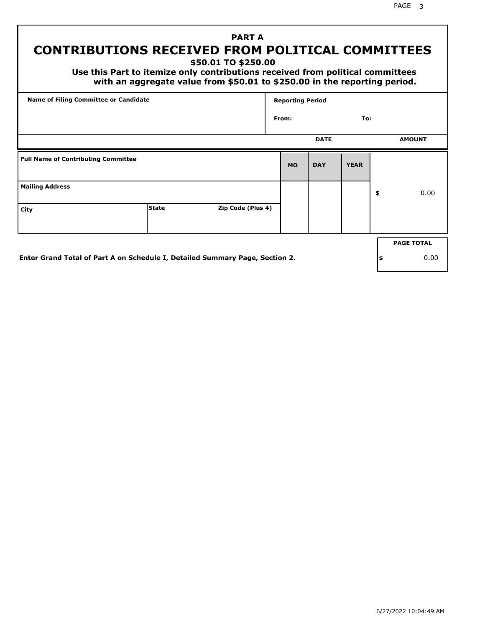PAGE 3

# **PART A CONTRIBUTIONS RECEIVED FROM POLITICAL COMMITTEES**

**\$50.01 TO \$250.00**

 **Use this Part to itemize only contributions received from political committees with an aggregate value from \$50.01 to \$250.00 in the reporting period.**

| Name of Filing Committee or Candidate      |              |                   |           | <b>Reporting Period</b> |             |    |                   |  |  |  |
|--------------------------------------------|--------------|-------------------|-----------|-------------------------|-------------|----|-------------------|--|--|--|
|                                            |              |                   | From:     |                         | To:         |    |                   |  |  |  |
|                                            |              |                   |           | <b>DATE</b>             |             |    | <b>AMOUNT</b>     |  |  |  |
| <b>Full Name of Contributing Committee</b> |              |                   | <b>MO</b> | <b>DAY</b>              | <b>YEAR</b> |    |                   |  |  |  |
| <b>Mailing Address</b>                     |              |                   |           |                         |             | \$ | 0.00              |  |  |  |
| City                                       | <b>State</b> | Zip Code (Plus 4) |           |                         |             |    |                   |  |  |  |
|                                            |              |                   |           |                         |             |    | <b>PAGE TOTAL</b> |  |  |  |
|                                            |              |                   |           |                         |             |    |                   |  |  |  |

**Enter Grand Total of Part A on Schedule I, Detailed Summary Page, Section 2.**

**\$** 0.00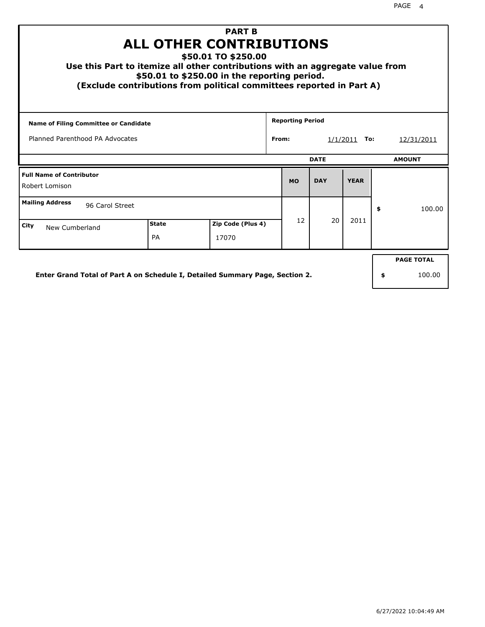| Use this Part to itemize all other contributions with an aggregate value from<br>(Exclude contributions from political committees reported in Part A) |              |  | <b>PART B</b><br><b>ALL OTHER CONTRIBUTIONS</b><br>\$50.01 TO \$250.00<br>\$50.01 to \$250.00 in the reporting period. |  |                         |             |             |                   |
|-------------------------------------------------------------------------------------------------------------------------------------------------------|--------------|--|------------------------------------------------------------------------------------------------------------------------|--|-------------------------|-------------|-------------|-------------------|
| <b>Name of Filing Committee or Candidate</b>                                                                                                          |              |  |                                                                                                                        |  | <b>Reporting Period</b> |             |             |                   |
| Planned Parenthood PA Advocates<br>From:                                                                                                              |              |  |                                                                                                                        |  |                         | 1/1/2011    | To:         | 12/31/2011        |
|                                                                                                                                                       |              |  |                                                                                                                        |  |                         | <b>DATE</b> |             | <b>AMOUNT</b>     |
| <b>Full Name of Contributor</b><br>Robert Lomison                                                                                                     |              |  |                                                                                                                        |  | <b>MO</b>               | <b>DAY</b>  | <b>YEAR</b> |                   |
| <b>Mailing Address</b><br>96 Carol Street                                                                                                             |              |  |                                                                                                                        |  |                         |             |             | \$<br>100.00      |
| City<br>New Cumberland                                                                                                                                | <b>State</b> |  | Zip Code (Plus 4)                                                                                                      |  | 12                      | 20          | 2011        |                   |
|                                                                                                                                                       | PA           |  | 17070                                                                                                                  |  |                         |             |             |                   |
|                                                                                                                                                       |              |  |                                                                                                                        |  |                         |             |             | <b>PAGE TOTAL</b> |
| Enter Grand Total of Part A on Schedule I, Detailed Summary Page, Section 2.                                                                          |              |  |                                                                                                                        |  |                         |             |             | \$<br>100.00      |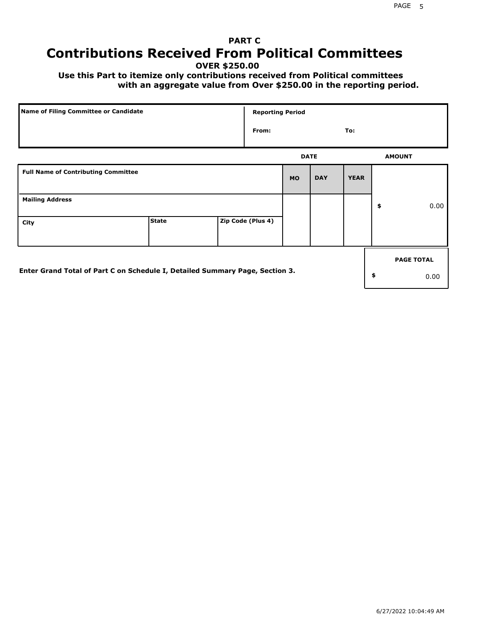# **PART C Contributions Received From Political Committees**

**OVER \$250.00**

 **Use this Part to itemize only contributions received from Political committees with an aggregate value from Over \$250.00 in the reporting period.**

| Name of Filing Committee or Candidate                                        |              |  |                   |             |            |             | <b>Reporting Period</b> |                   |  |  |  |  |  |
|------------------------------------------------------------------------------|--------------|--|-------------------|-------------|------------|-------------|-------------------------|-------------------|--|--|--|--|--|
|                                                                              |              |  | From:             |             |            | To:         |                         |                   |  |  |  |  |  |
|                                                                              |              |  |                   | <b>DATE</b> |            |             |                         | <b>AMOUNT</b>     |  |  |  |  |  |
| <b>Full Name of Contributing Committee</b>                                   |              |  |                   | <b>MO</b>   | <b>DAY</b> | <b>YEAR</b> |                         |                   |  |  |  |  |  |
| <b>Mailing Address</b>                                                       |              |  |                   |             |            |             | \$                      | 0.00              |  |  |  |  |  |
| City                                                                         | <b>State</b> |  | Zip Code (Plus 4) |             |            |             |                         |                   |  |  |  |  |  |
|                                                                              |              |  |                   |             |            |             |                         | <b>PAGE TOTAL</b> |  |  |  |  |  |
| Enter Grand Total of Part C on Schedule I, Detailed Summary Page, Section 3. |              |  |                   |             |            |             | \$                      | 0.00              |  |  |  |  |  |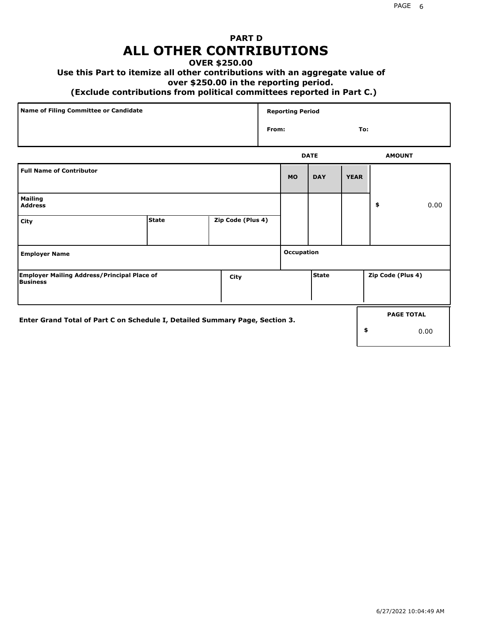## **PART D ALL OTHER CONTRIBUTIONS**

### **OVER \$250.00**

### **Use this Part to itemize all other contributions with an aggregate value of**

#### **over \$250.00 in the reporting period.**

#### **(Exclude contributions from political committees reported in Part C.)**

| Name of Filing Committee or Candidate | <b>Reporting Period</b> |     |
|---------------------------------------|-------------------------|-----|
|                                       | From:                   | To: |
|                                       |                         |     |

|                                                                              |              |                   |            | <b>DATE</b>  |             | <b>AMOUNT</b>     |                           |
|------------------------------------------------------------------------------|--------------|-------------------|------------|--------------|-------------|-------------------|---------------------------|
| <b>Full Name of Contributor</b>                                              |              |                   |            |              | <b>YEAR</b> |                   |                           |
| <b>Mailing</b><br><b>Address</b>                                             |              |                   |            |              |             | \$                | 0.00                      |
| City                                                                         | <b>State</b> | Zip Code (Plus 4) |            |              |             |                   |                           |
| <b>Employer Name</b>                                                         |              |                   | Occupation |              |             |                   |                           |
| <b>Employer Mailing Address/Principal Place of</b><br><b>Business</b>        |              | City              |            | <b>State</b> |             | Zip Code (Plus 4) |                           |
| Enter Grand Total of Part C on Schedule I, Detailed Summary Page, Section 3. |              |                   |            |              | \$          |                   | <b>PAGE TOTAL</b><br>0.00 |
|                                                                              |              |                   |            |              |             |                   |                           |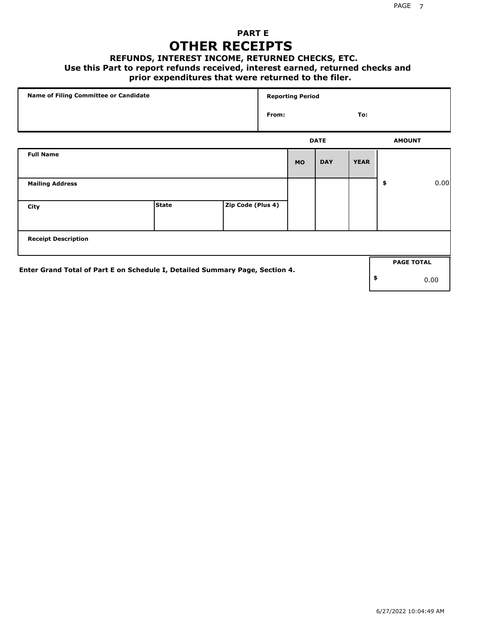## **PART E OTHER RECEIPTS**

#### **REFUNDS, INTEREST INCOME, RETURNED CHECKS, ETC.**

#### **Use this Part to report refunds received, interest earned, returned checks and**

## **prior expenditures that were returned to the filer.**

| Name of Filing Committee or Candidate                                        |              |                   |       | <b>Reporting Period</b> |             |             |                   |
|------------------------------------------------------------------------------|--------------|-------------------|-------|-------------------------|-------------|-------------|-------------------|
|                                                                              |              |                   | From: |                         |             | To:         |                   |
|                                                                              |              |                   |       |                         | <b>DATE</b> |             | <b>AMOUNT</b>     |
| <b>Full Name</b>                                                             |              |                   |       | <b>MO</b>               | <b>DAY</b>  | <b>YEAR</b> |                   |
| <b>Mailing Address</b>                                                       |              |                   |       |                         |             |             | \$<br>0.00        |
| City                                                                         | <b>State</b> | Zip Code (Plus 4) |       |                         |             |             |                   |
| <b>Receipt Description</b>                                                   |              |                   |       |                         |             |             |                   |
| Enter Grand Total of Part E on Schedule I, Detailed Summary Page, Section 4. |              |                   |       |                         |             |             | <b>PAGE TOTAL</b> |
|                                                                              |              |                   |       |                         |             |             | \$<br>0.00        |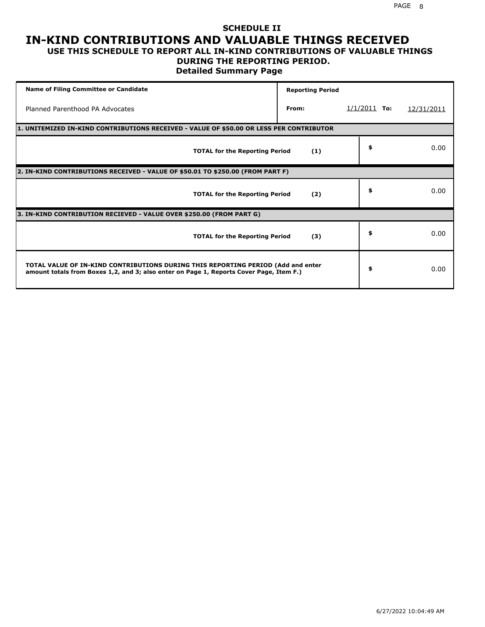### **SCHEDULE II IN-KIND CONTRIBUTIONS AND VALUABLE THINGS RECEIVED USE THIS SCHEDULE TO REPORT ALL IN-KIND CONTRIBUTIONS OF VALUABLE THINGS**

## **DURING THE REPORTING PERIOD.**

**Detailed Summary Page**

| <b>Name of Filing Committee or Candidate</b>                                                                                                                                | <b>Reporting Period</b> |                |            |
|-----------------------------------------------------------------------------------------------------------------------------------------------------------------------------|-------------------------|----------------|------------|
| Planned Parenthood PA Advocates                                                                                                                                             | From:                   | $1/1/2011$ To: | 12/31/2011 |
| 1. UNITEMIZED IN-KIND CONTRIBUTIONS RECEIVED - VALUE OF \$50.00 OR LESS PER CONTRIBUTOR                                                                                     |                         |                |            |
| <b>TOTAL for the Reporting Period</b>                                                                                                                                       | (1)                     | \$             | 0.00       |
| 2. IN-KIND CONTRIBUTIONS RECEIVED - VALUE OF \$50.01 TO \$250.00 (FROM PART F)                                                                                              |                         |                |            |
| <b>TOTAL for the Reporting Period</b>                                                                                                                                       | (2)                     | \$             | 0.00       |
| 3. IN-KIND CONTRIBUTION RECIEVED - VALUE OVER \$250.00 (FROM PART G)                                                                                                        |                         |                |            |
| <b>TOTAL for the Reporting Period</b>                                                                                                                                       | (3)                     | \$             | 0.00       |
| TOTAL VALUE OF IN-KIND CONTRIBUTIONS DURING THIS REPORTING PERIOD (Add and enter<br>amount totals from Boxes 1,2, and 3; also enter on Page 1, Reports Cover Page, Item F.) |                         | \$             | 0.00       |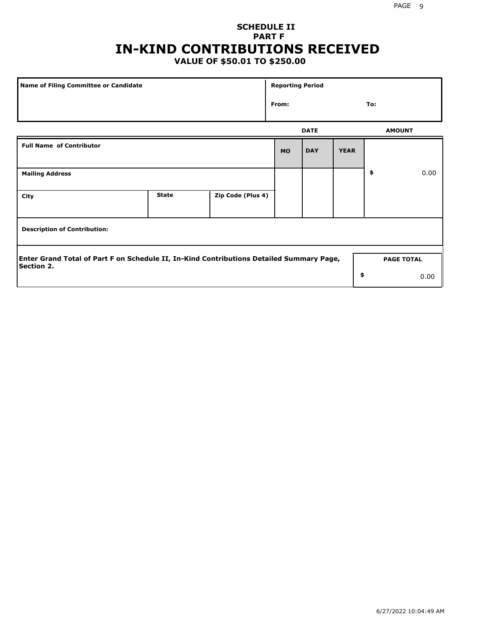## **SCHEDULE II PART F IN-KIND CONTRIBUTIONS RECEIVED**

## **VALUE OF \$50.01 TO \$250.00**

| Name of Filing Committee or Candidate                                                                         |              |                   | <b>Reporting Period</b> |             |             |                   |      |  |
|---------------------------------------------------------------------------------------------------------------|--------------|-------------------|-------------------------|-------------|-------------|-------------------|------|--|
| From:                                                                                                         |              |                   |                         |             |             | To:               |      |  |
|                                                                                                               |              |                   |                         | <b>DATE</b> |             | <b>AMOUNT</b>     |      |  |
| <b>Full Name of Contributor</b>                                                                               |              |                   | <b>MO</b>               | <b>DAY</b>  | <b>YEAR</b> |                   |      |  |
| <b>Mailing Address</b>                                                                                        |              |                   |                         |             |             | \$                | 0.00 |  |
| City                                                                                                          | <b>State</b> | Zip Code (Plus 4) |                         |             |             |                   |      |  |
| <b>Description of Contribution:</b>                                                                           |              |                   |                         |             |             |                   |      |  |
| Enter Grand Total of Part F on Schedule II, In-Kind Contributions Detailed Summary Page,<br><b>Section 2.</b> |              |                   |                         |             |             | <b>PAGE TOTAL</b> |      |  |
|                                                                                                               |              |                   |                         |             | \$          |                   | 0.00 |  |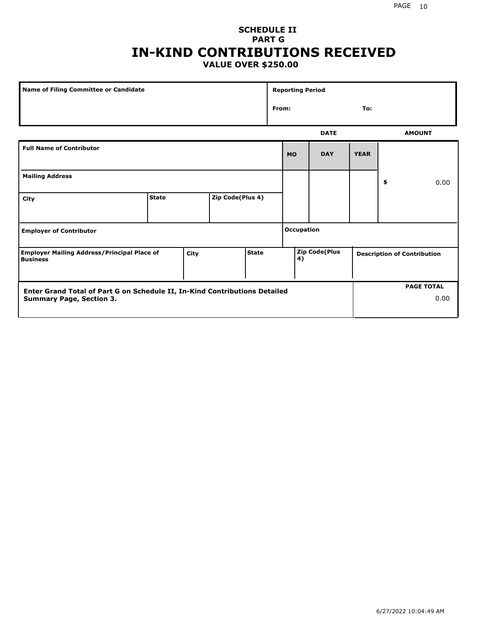## **SCHEDULE II PART G IN-KIND CONTRIBUTIONS RECEIVED VALUE OVER \$250.00**

| Name of Filing Committee or Candidate                                                         |              |  |                  | <b>Reporting Period</b> |    |                   |             |                                    |    |               |
|-----------------------------------------------------------------------------------------------|--------------|--|------------------|-------------------------|----|-------------------|-------------|------------------------------------|----|---------------|
|                                                                                               |              |  |                  |                         |    | From:<br>To:      |             |                                    |    |               |
|                                                                                               |              |  |                  |                         |    |                   | <b>DATE</b> |                                    |    | <b>AMOUNT</b> |
| <b>Full Name of Contributor</b>                                                               |              |  |                  |                         |    | <b>MO</b>         | <b>DAY</b>  | <b>YEAR</b>                        |    |               |
| <b>Mailing Address</b>                                                                        |              |  |                  |                         |    |                   |             |                                    | \$ | 0.00          |
| City                                                                                          | <b>State</b> |  | Zip Code(Plus 4) |                         |    |                   |             |                                    |    |               |
| <b>Employer of Contributor</b>                                                                |              |  |                  |                         |    | <b>Occupation</b> |             |                                    |    |               |
| <b>State</b><br><b>Employer Mailing Address/Principal Place of</b><br>City<br><b>Business</b> |              |  |                  |                         | 4) | Zip Code(Plus     |             | <b>Description of Contribution</b> |    |               |

| <b>Enter Grand Total of Part G on Schedule II, In-Kind Contributions Detailed</b> |  | <b>PAGE TOTAL</b> |
|-----------------------------------------------------------------------------------|--|-------------------|
| <b>Summary Page, Section 3.</b>                                                   |  | 0.00              |
|                                                                                   |  |                   |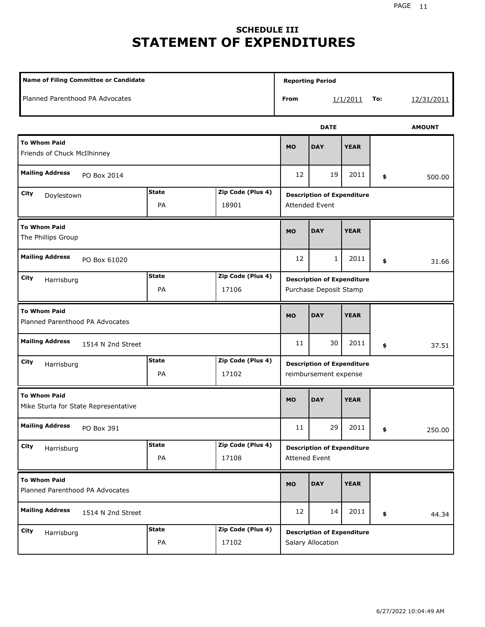# **SCHEDULE III STATEMENT OF EXPENDITURES**

|                                                                        | Name of Filing Committee or Candidate |                            |                                                            |                                                             |             |     |               |  |
|------------------------------------------------------------------------|---------------------------------------|----------------------------|------------------------------------------------------------|-------------------------------------------------------------|-------------|-----|---------------|--|
| Planned Parenthood PA Advocates                                        |                                       |                            | From                                                       |                                                             | 1/1/2011    | To: | 12/31/2011    |  |
|                                                                        |                                       |                            |                                                            | <b>DATE</b>                                                 |             |     | <b>AMOUNT</b> |  |
| <b>To Whom Paid</b><br>Friends of Chuck McIlhinney                     |                                       |                            | <b>MO</b>                                                  | <b>DAY</b>                                                  | <b>YEAR</b> |     |               |  |
| <b>Mailing Address</b><br>PO Box 2014                                  |                                       |                            | 12                                                         | 19                                                          | 2011        | \$  | 500.00        |  |
| City<br>Doylestown                                                     | <b>State</b><br>PA                    | Zip Code (Plus 4)<br>18901 | <b>Description of Expenditure</b><br><b>Attended Event</b> |                                                             |             |     |               |  |
| <b>To Whom Paid</b><br>The Phillips Group                              |                                       |                            |                                                            | <b>DAY</b>                                                  | <b>YEAR</b> |     |               |  |
| <b>Mailing Address</b><br>PO Box 61020                                 |                                       |                            |                                                            | 1                                                           | 2011        | \$  | 31.66         |  |
| <b>State</b><br>Zip Code (Plus 4)<br>City<br>Harrisburg<br>PA<br>17106 |                                       |                            |                                                            | <b>Description of Expenditure</b><br>Purchase Deposit Stamp |             |     |               |  |
| <b>To Whom Paid</b><br>Planned Parenthood PA Advocates                 |                                       |                            | <b>MO</b>                                                  | <b>DAY</b>                                                  | <b>YEAR</b> |     |               |  |
| <b>Mailing Address</b><br>1514 N 2nd Street                            |                                       |                            | 11                                                         | 30                                                          | 2011        | \$  | 37.51         |  |
| City<br>Harrisburg                                                     | <b>State</b><br>PA                    | Zip Code (Plus 4)<br>17102 |                                                            | <b>Description of Expenditure</b><br>reimbursement expense  |             |     |               |  |
| <b>To Whom Paid</b><br>Mike Sturla for State Representative            |                                       |                            | <b>MO</b>                                                  | <b>DAY</b>                                                  | <b>YEAR</b> |     |               |  |
| <b>Mailing Address</b><br>PO Box 391                                   |                                       |                            | $11\,$                                                     | 29                                                          | 2011        | \$  | 250.00        |  |
| City<br>Harrisburg                                                     | <b>State</b><br>PA                    | Zip Code (Plus 4)<br>17108 | <b>Attened Event</b>                                       | <b>Description of Expenditure</b>                           |             |     |               |  |
| <b>To Whom Paid</b><br>Planned Parenthood PA Advocates                 |                                       |                            | <b>MO</b>                                                  | <b>DAY</b>                                                  | <b>YEAR</b> |     |               |  |
| <b>Mailing Address</b><br>1514 N 2nd Street                            |                                       |                            |                                                            | 14                                                          | 2011        | \$  | 44.34         |  |
| City<br>Harrisburg                                                     | <b>State</b><br>PA                    | Zip Code (Plus 4)<br>17102 |                                                            | <b>Description of Expenditure</b><br>Salary Allocation      |             |     |               |  |